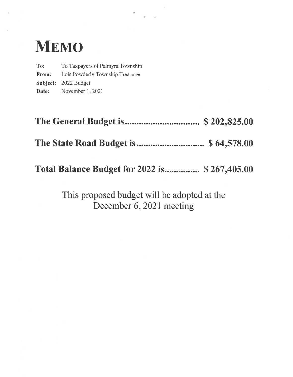# Memo

To: To Taxpayers of Palmyra Township **From:** Lois Powderly Township Treasurer **Subject:** 2022 Budget **Date:** November 1, 2021

**The General Budget is................................ \$ 202,825.00**

**The State Road Budget is............................. \$ 64,578.00**

**Total Balance Budget for 2022 is............... \$ 267,405.00**

This proposed budget will be adopted at the December 6, 2021 meeting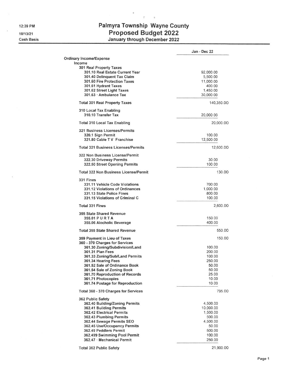**12:39 PM**

**10/13/21 Cash Basis**

 $\alpha$ 

## Palmyra Township Wayne County **Proposed Budget 2022 January through December 2022**

 $\tau = -\pi$ 

 $\tilde{\pi}$ 

|                                               | Jan - Dec 22 |
|-----------------------------------------------|--------------|
| <b>Ordinary Income/Expense</b>                |              |
| Income                                        |              |
| 301 Real Property Taxes                       |              |
| 301.10 Real Estate Current Year               | 92,000.00    |
| 301.40 Delinguent Tax Claim                   | 5,500.00     |
| 301.60 Fire Protection Taxes                  | 11,000.00    |
| 301.61 Hydrant Taxes                          | 400.00       |
| 301.62 Street Light Taxes                     | 1,450.00     |
| 301.63 - Ambulance Tax                        | 30,000.00    |
| <b>Total 301 Real Property Taxes</b>          | 140,350.00   |
| 310 Local Tax Enabling<br>310.10 Transfer Tax | 20,000.00    |
| <b>Total 310 Local Tax Enabling</b>           | 20,000.00    |
|                                               |              |
| 321 Business Licenses/Permits                 |              |
| 320.1 Sign Permit                             | 100.00       |
| 321.80 Cable TV Franchise                     | 12,500.00    |
| <b>Total 321 Business Licenses/Permits</b>    | 12,600.00    |
| 322 Non Business License/Permit               |              |
| 322.30 Driveway Permits                       | 30.00        |
| 322.50 Street Opening Permits                 | 100.00       |
| <b>Total 322 Non Business License/Permit</b>  | 130.00       |
| 331 Fines                                     |              |
| <b>331.11 Vehicle Code Violations</b>         | 700.00       |
| 331.12 Violations of Ordinances               | 1,000.00     |
| 331.13 State Police Fines                     | 800.00       |
| 331.15 Violations of Criminal C               | 100.00       |
| <b>Total 331 Fines</b>                        | 2,600.00     |
| 355 State Shared Revenue                      |              |
|                                               | 150.00       |
| 355.01 P U R T A                              |              |
| 355.06 Alocholic Beverage                     | 400.00       |
| <b>Total 355 State Shared Revenue</b>         | 550.00       |
| 359 Payment in Lieu of Taxes                  | 150.00       |
| 360 - 370 Charges for Services                |              |
| 361.30 Zoning/Subdivision/Land                | 100.00       |
| <b>361.31 Plan Fees</b>                       | 200.00       |
| 361.33 Zoning/Sub/Land Permits                | 100.00       |
| 361.34 Hearing Fees                           | 250.00       |
| 361.52 Sale of Ordinance Book                 | 50.00        |
| 361.54 Sale of Zoning Book                    | 50.00        |
| 361.70 Reproduction of Records                | 25.00        |
| 361.71 Photocopies                            | 10.00        |
| 361.74 Postage for Reproduction               | 10.00        |
| <b>Total 360 - 370 Charges for Services</b>   | 795.00       |
| 362 Public Safety                             |              |
| 362.40 Building/Zoning Permits                | 4,500.00     |
| 362.41 Building Permits                       | 10,000.00    |
| 362.42 Electrical Permits                     | 1.500.00     |
| 362.43 Plumbing Permits                       | 500.00       |
| 362.44 Sewage Permits SEO                     | 4,500.00     |
| 362.45 Use/Occupancy Permits                  | 50.00        |
| 362.49 Peddlers Permit                        | 500.00       |
| 362.499 Swimming Pool Permit                  | 100.00       |
| 362.47 - Mechanical Permit                    | 250.00       |
|                                               |              |
| <b>Total 362 Public Safety</b>                | 21,900.00    |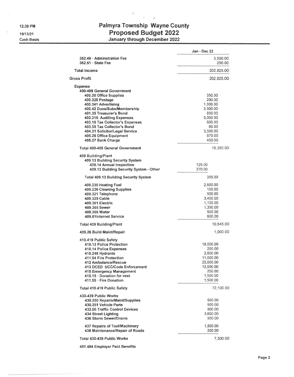**Cash Basis**

## Palmyra Township Wayne County **Proposed Budget 2022 January through December 2022**

 $\overline{\tau}=-\pi$ 

 $\bar{\tau}$ 

|                                              | Jan - Dec 22 |
|----------------------------------------------|--------------|
| 362.49 - Adminstration Fee                   | 3,500.00     |
| $362.51 \cdot$ State Fee                     | 250.00       |
| <b>Total Income</b>                          | 202,825.00   |
| <b>Gross Profit</b>                          | 202,825.00   |
| Expense                                      |              |
| 400-409 General Government                   |              |
| 400.20 Office Supplies                       | 350.00       |
| 400.325 Postage                              | 200.00       |
| 400.341 Advertising                          | 1,000.00     |
| 400.42 Dues/Subs/Membership                  | 3,500.00     |
| 401.35 Treasurer's Bond                      | 850.00       |
| 402.215 Auditing Expenses                    | 5.000.00     |
| 403.15 Tax Collector's Expenses              | 600.00       |
| 403.35 Tax Collector's Bond                  | 60.00        |
| 404.31 Solicitor/Legal Service               | 3,500.00     |
| 405.26 Office Equipment                      | 870.00       |
| 405.27 Bank Charge                           | 450.00       |
| <b>Total 400-409 General Government</b>      | 16,380.00    |
| 409 Building/Plant                           |              |
| 409.13 Building Security System              |              |
| 409.14 Annual Inspection                     | 125.00       |
| 409.13 Building Security System - Other      | 270.00       |
| <b>Total 409.13 Building Security System</b> | 395.00       |
| 409.230 Heating Fuel                         | 2,600.00     |
| 409.236 Cleaning Supplies                    | 100.00       |
| 409.321 Telephone                            | 500.00       |
| 409.329 Cable                                | 3,400.00     |
| 409.361 Electric                             | 1,100.00     |
| 409.365 Sewer                                | 1,350.00     |
| 409.366 Water                                | 500.00       |
| 409.81Internet Service                       | 600.00       |
| Total 409 Building/Plant                     | 10,545.00    |
| 409.26 Build Maint/Repair                    | 1,000.00     |
| 410.419 Public Safety                        |              |
| 410.13 Police Protection                     | 18,000.00    |
| 410.14 Police Expenses                       | 250.00       |
| 410.246 Hydrants                             | 2,600.00     |
| 411.54 Fire Protection                       | 11,000.00    |
| 412 Ambulance/Rescue                         | 25,000.00    |
| 413 DCED UCC/Code Enforcement                | 12,000.00    |
| 415 Emergency Management                     | 250.00       |
| 410.15 · Donation for vest                   | 1,500.00     |
| 411.55 · Fire Donation                       | 1,500.00     |
| <b>Total 410.419 Public Safety</b>           | 72,100.00    |
| 430-439 Public Works                         |              |
| 430.250 Repairs/Maint/Supplies               | 500.00       |
| 430.251 Vehicle Parts                        | 500.00       |
| 433.00 Traffic Control Devices               | 500.00       |
| 434 Street Lighting                          | 3,600.00     |
| 436 Storm Sewer/Drains                       | 500.00       |
|                                              |              |
| 437 Repairs of Tool/Machinery                | 1,500.00     |
| 438 Maintenance/Repair of Roads              | 200.00       |
| <b>Total 430-439 Public Works</b>            | 7,300.00     |

**481.484 Employer Paid Benefits**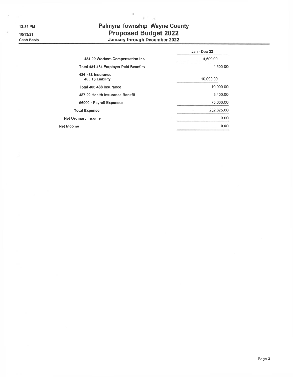**12:39 PM 10/13/21 Cash Basis**

## Palmyra Township Wayne County **Proposed Budget 2022 January through December 2022**

 $\tilde{q}^{(1)}$  .  $\tilde{q}$ 

 $\vec{u}$ 

|                                             | Jan - Dec 22 |
|---------------------------------------------|--------------|
| 484.00 Workers Compensation Ins             | 4,500.00     |
| <b>Total 481.484 Employer Paid Benefits</b> | 4,500.00     |
| 486-488 Insurance<br>486.10 Liability       | 10,000.00    |
| Total 486-488 Insurance                     | 10,000.00    |
| 487.00 Health Insurance Benefit             | 5,400.00     |
| 66000 · Payroll Expenses                    | 75,600.00    |
| <b>Total Expense</b>                        | 202,825.00   |
| <b>Net Ordinary Income</b>                  | 0.00         |
| Net Income                                  | 0.00         |